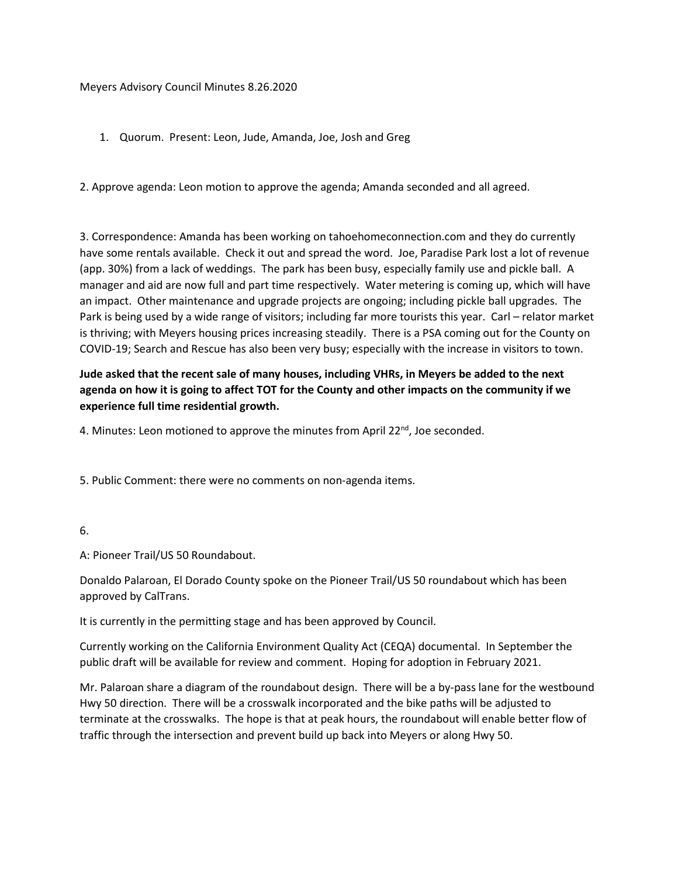#### Meyers Advisory Council Minutes 8.26.2020

1. Quorum. Present: Leon, Jude, Amanda, Joe, Josh and Greg

2. Approve agenda: Leon motion to approve the agenda; Amanda seconded and all agreed.

3. Correspondence: Amanda has been working on tahoehomeconnection.com and they do currently have some rentals available. Check it out and spread the word. Joe, Paradise Park lost a lot of revenue (app. 30%) from a lack of weddings. The park has been busy, especially family use and pickle ball. A manager and aid are now full and part time respectively. Water metering is coming up, which will have an impact. Other maintenance and upgrade projects are ongoing; including pickle ball upgrades. The Park is being used by a wide range of visitors; including far more tourists this year. Carl – relator market is thriving; with Meyers housing prices increasing steadily. There is a PSA coming out for the County on COVID-19; Search and Rescue has also been very busy; especially with the increase in visitors to town.

# **Jude asked that the recent sale of many houses, including VHRs, in Meyers be added to the next agenda on how it is going to affect TOT for the County and other impacts on the community if we experience full time residential growth.**

4. Minutes: Leon motioned to approve the minutes from April  $22^{nd}$ , Joe seconded.

5. Public Comment: there were no comments on non-agenda items.

6.

A: Pioneer Trail/US 50 Roundabout.

Donaldo Palaroan, El Dorado County spoke on the Pioneer Trail/US 50 roundabout which has been approved by CalTrans.

It is currently in the permitting stage and has been approved by Council.

Currently working on the California Environment Quality Act (CEQA) documental. In September the public draft will be available for review and comment. Hoping for adoption in February 2021.

Mr. Palaroan share a diagram of the roundabout design. There will be a by-pass lane for the westbound Hwy 50 direction. There will be a crosswalk incorporated and the bike paths will be adjusted to terminate at the crosswalks. The hope is that at peak hours, the roundabout will enable better flow of traffic through the intersection and prevent build up back into Meyers or along Hwy 50.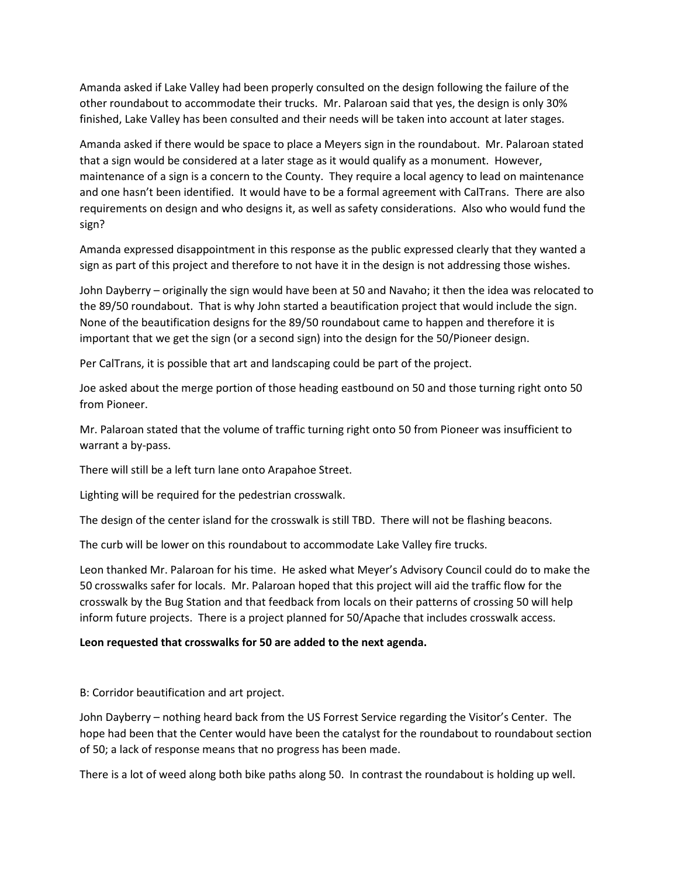Amanda asked if Lake Valley had been properly consulted on the design following the failure of the other roundabout to accommodate their trucks. Mr. Palaroan said that yes, the design is only 30% finished, Lake Valley has been consulted and their needs will be taken into account at later stages.

Amanda asked if there would be space to place a Meyers sign in the roundabout. Mr. Palaroan stated that a sign would be considered at a later stage as it would qualify as a monument. However, maintenance of a sign is a concern to the County. They require a local agency to lead on maintenance and one hasn't been identified. It would have to be a formal agreement with CalTrans. There are also requirements on design and who designs it, as well as safety considerations. Also who would fund the sign?

Amanda expressed disappointment in this response as the public expressed clearly that they wanted a sign as part of this project and therefore to not have it in the design is not addressing those wishes.

John Dayberry – originally the sign would have been at 50 and Navaho; it then the idea was relocated to the 89/50 roundabout. That is why John started a beautification project that would include the sign. None of the beautification designs for the 89/50 roundabout came to happen and therefore it is important that we get the sign (or a second sign) into the design for the 50/Pioneer design.

Per CalTrans, it is possible that art and landscaping could be part of the project.

Joe asked about the merge portion of those heading eastbound on 50 and those turning right onto 50 from Pioneer.

Mr. Palaroan stated that the volume of traffic turning right onto 50 from Pioneer was insufficient to warrant a by-pass.

There will still be a left turn lane onto Arapahoe Street.

Lighting will be required for the pedestrian crosswalk.

The design of the center island for the crosswalk is still TBD. There will not be flashing beacons.

The curb will be lower on this roundabout to accommodate Lake Valley fire trucks.

Leon thanked Mr. Palaroan for his time. He asked what Meyer's Advisory Council could do to make the 50 crosswalks safer for locals. Mr. Palaroan hoped that this project will aid the traffic flow for the crosswalk by the Bug Station and that feedback from locals on their patterns of crossing 50 will help inform future projects. There is a project planned for 50/Apache that includes crosswalk access.

#### **Leon requested that crosswalks for 50 are added to the next agenda.**

B: Corridor beautification and art project.

John Dayberry – nothing heard back from the US Forrest Service regarding the Visitor's Center. The hope had been that the Center would have been the catalyst for the roundabout to roundabout section of 50; a lack of response means that no progress has been made.

There is a lot of weed along both bike paths along 50. In contrast the roundabout is holding up well.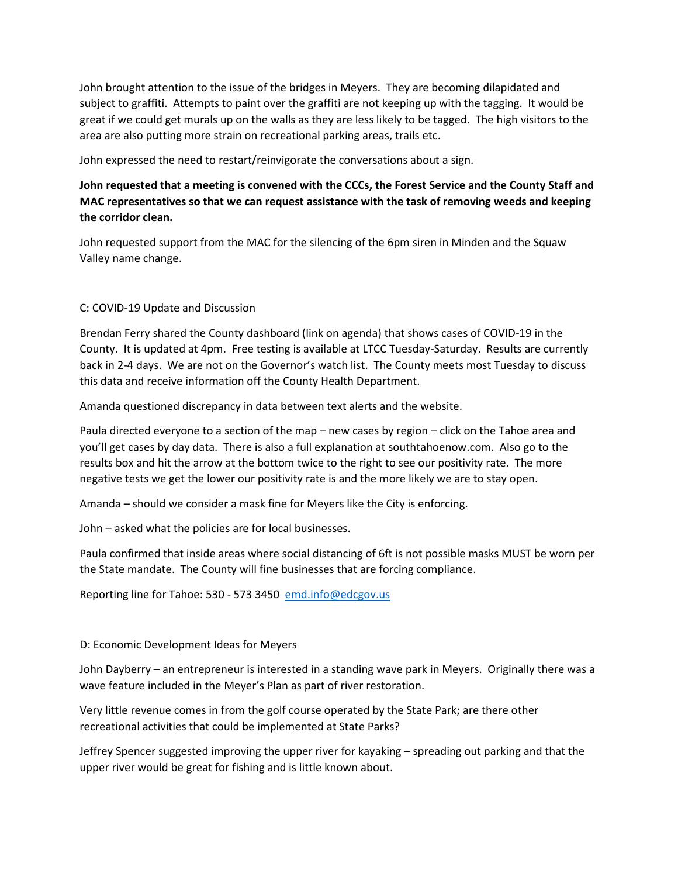John brought attention to the issue of the bridges in Meyers. They are becoming dilapidated and subject to graffiti. Attempts to paint over the graffiti are not keeping up with the tagging. It would be great if we could get murals up on the walls as they are less likely to be tagged. The high visitors to the area are also putting more strain on recreational parking areas, trails etc.

John expressed the need to restart/reinvigorate the conversations about a sign.

## **John requested that a meeting is convened with the CCCs, the Forest Service and the County Staff and MAC representatives so that we can request assistance with the task of removing weeds and keeping the corridor clean.**

John requested support from the MAC for the silencing of the 6pm siren in Minden and the Squaw Valley name change.

### C: COVID-19 Update and Discussion

Brendan Ferry shared the County dashboard (link on agenda) that shows cases of COVID-19 in the County. It is updated at 4pm. Free testing is available at LTCC Tuesday-Saturday. Results are currently back in 2-4 days. We are not on the Governor's watch list. The County meets most Tuesday to discuss this data and receive information off the County Health Department.

Amanda questioned discrepancy in data between text alerts and the website.

Paula directed everyone to a section of the map – new cases by region – click on the Tahoe area and you'll get cases by day data. There is also a full explanation at southtahoenow.com. Also go to the results box and hit the arrow at the bottom twice to the right to see our positivity rate. The more negative tests we get the lower our positivity rate is and the more likely we are to stay open.

Amanda – should we consider a mask fine for Meyers like the City is enforcing.

John – asked what the policies are for local businesses.

Paula confirmed that inside areas where social distancing of 6ft is not possible masks MUST be worn per the State mandate. The County will fine businesses that are forcing compliance.

Reporting line for Tahoe: 530 - 573 3450 [emd.info@edcgov.us](mailto:emd.info@edcgov.us)

### D: Economic Development Ideas for Meyers

John Dayberry – an entrepreneur is interested in a standing wave park in Meyers. Originally there was a wave feature included in the Meyer's Plan as part of river restoration.

Very little revenue comes in from the golf course operated by the State Park; are there other recreational activities that could be implemented at State Parks?

Jeffrey Spencer suggested improving the upper river for kayaking – spreading out parking and that the upper river would be great for fishing and is little known about.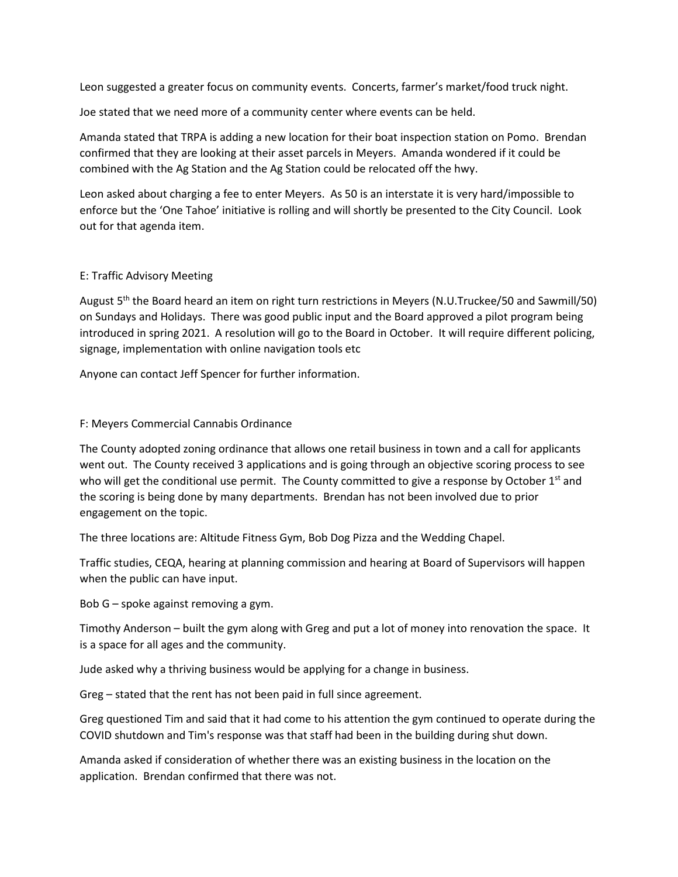Leon suggested a greater focus on community events. Concerts, farmer's market/food truck night.

Joe stated that we need more of a community center where events can be held.

Amanda stated that TRPA is adding a new location for their boat inspection station on Pomo. Brendan confirmed that they are looking at their asset parcels in Meyers. Amanda wondered if it could be combined with the Ag Station and the Ag Station could be relocated off the hwy.

Leon asked about charging a fee to enter Meyers. As 50 is an interstate it is very hard/impossible to enforce but the 'One Tahoe' initiative is rolling and will shortly be presented to the City Council. Look out for that agenda item.

### E: Traffic Advisory Meeting

August 5th the Board heard an item on right turn restrictions in Meyers (N.U.Truckee/50 and Sawmill/50) on Sundays and Holidays. There was good public input and the Board approved a pilot program being introduced in spring 2021. A resolution will go to the Board in October. It will require different policing, signage, implementation with online navigation tools etc

Anyone can contact Jeff Spencer for further information.

#### F: Meyers Commercial Cannabis Ordinance

The County adopted zoning ordinance that allows one retail business in town and a call for applicants went out. The County received 3 applications and is going through an objective scoring process to see who will get the conditional use permit. The County committed to give a response by October  $1<sup>st</sup>$  and the scoring is being done by many departments. Brendan has not been involved due to prior engagement on the topic.

The three locations are: Altitude Fitness Gym, Bob Dog Pizza and the Wedding Chapel.

Traffic studies, CEQA, hearing at planning commission and hearing at Board of Supervisors will happen when the public can have input.

Bob G – spoke against removing a gym.

Timothy Anderson – built the gym along with Greg and put a lot of money into renovation the space. It is a space for all ages and the community.

Jude asked why a thriving business would be applying for a change in business.

Greg – stated that the rent has not been paid in full since agreement.

Greg questioned Tim and said that it had come to his attention the gym continued to operate during the COVID shutdown and Tim's response was that staff had been in the building during shut down.

Amanda asked if consideration of whether there was an existing business in the location on the application. Brendan confirmed that there was not.